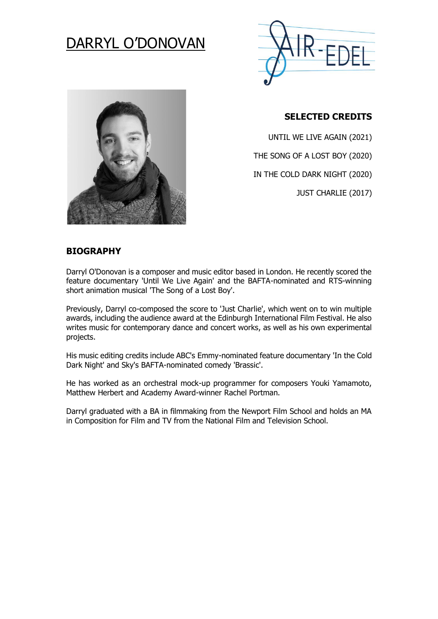# DARRYL O'DONOVAN





#### **SELECTED CREDITS**

UNTIL WE LIVE AGAIN (2021)

THE SONG OF A LOST BOY (2020)

IN THE COLD DARK NIGHT (2020)

JUST CHARLIE (2017)

#### **BIOGRAPHY**

Darryl O'Donovan is a composer and music editor based in London. He recently scored the feature documentary 'Until We Live Again' and the BAFTA-nominated and RTS-winning short animation musical 'The Song of a Lost Boy'.

Previously, Darryl co-composed the score to 'Just Charlie', which went on to win multiple awards, including the audience award at the Edinburgh International Film Festival. He also writes music for contemporary dance and concert works, as well as his own experimental projects.

His music editing credits include ABC's Emmy-nominated feature documentary 'In the Cold Dark Night' and Sky's BAFTA-nominated comedy 'Brassic'.

He has worked as an orchestral mock-up programmer for composers Youki Yamamoto, Matthew Herbert and Academy Award-winner Rachel Portman.

Darryl graduated with a BA in filmmaking from the Newport Film School and holds an MA in Composition for Film and TV from the National Film and Television School.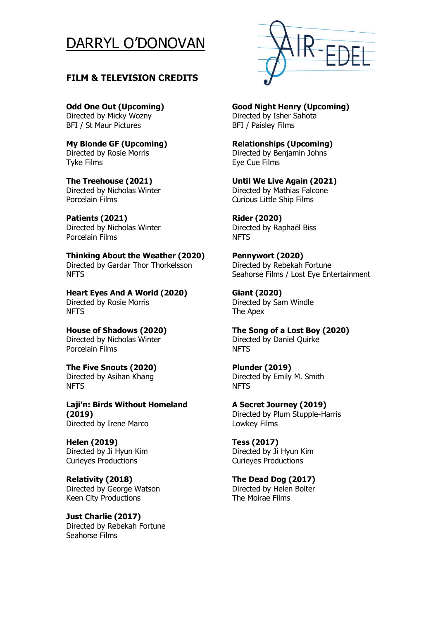## DARRYL O'DONOVAN

#### **FILM & TELEVISION CREDITS**

**Odd One Out (Upcoming)** Directed by Micky Wozny BFI / St Maur Pictures

**My Blonde GF (Upcoming)**  Directed by Rosie Morris Tyke Films

**The Treehouse (2021)**  Directed by Nicholas Winter Porcelain Films

**Patients (2021)**  Directed by Nicholas Winter Porcelain Films

**Thinking About the Weather (2020)**  Directed by Gardar Thor Thorkelsson NFTS

**Heart Eyes And A World (2020)**  Directed by Rosie Morris NFTS

**House of Shadows (2020)**  Directed by Nicholas Winter Porcelain Films

**The Five Snouts (2020)**  Directed by Asihan Khang NFTS

**Laji'n: Birds Without Homeland (2019)**  Directed by Irene Marco

**Helen (2019)**  Directed by Ji Hyun Kim Curieyes Productions

**Relativity (2018)**  Directed by George Watson Keen City Productions

**Just Charlie (2017)**  Directed by Rebekah Fortune Seahorse Films



#### **Good Night Henry (Upcoming)**

Directed by Isher Sahota BFI / Paisley Films

**Relationships (Upcoming)** 

Directed by Benjamin Johns Eye Cue Films

**Until We Live Again (2021)**  Directed by Mathias Falcone Curious Little Ship Films

**Rider (2020)**  Directed by Raphaël Biss **NFTS** 

**Pennywort (2020)**  Directed by Rebekah Fortune Seahorse Films / Lost Eye Entertainment

**Giant (2020)**  Directed by Sam Windle The Apex

**The Song of a Lost Boy (2020)**  Directed by Daniel Quirke NFTS

**Plunder (2019)**  Directed by Emily M. Smith NFTS

**A Secret Journey (2019)**  Directed by Plum Stupple-Harris Lowkey Films

**Tess (2017)**  Directed by Ji Hyun Kim Curieyes Productions

**The Dead Dog (2017)**  Directed by Helen Bolter The Moirae Films